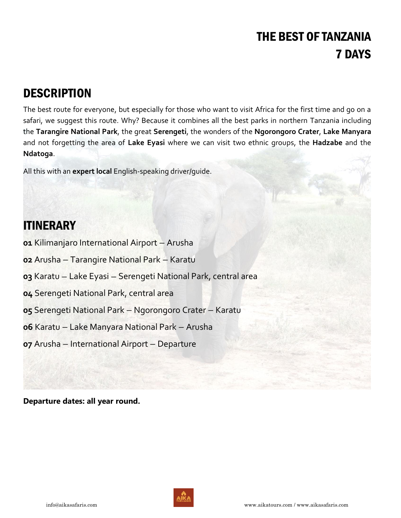# THE BEST OF TANZANIA 7 DAYS

## **DESCRIPTION**

The best route for everyone, but especially for those who want to visit Africa for the first time and go on a safari, we suggest this route. Why? Because it combines all the best parks in northern Tanzania including the **Tarangire National Park**, the great **Serengeti**, the wonders of the **Ngorongoro Crater**, **Lake Manyara** and not forgetting the area of **Lake Eyasi** where we can visit two ethnic groups, the **Hadzabe** and the **Ndatoga**.

All this with an **expert local** English-speaking driver/guide.

## ITINERARY

- **01** Kilimanjaro International Airport Arusha
- **02** Arusha Tarangire National Park Karatu
- **03** Karatu Lake Eyasi Serengeti National Park, central area
- **04** Serengeti National Park, central area
- **05** Serengeti National Park Ngorongoro Crater Karatu
- **06** Karatu Lake Manyara National Park Arusha
- **07** Arusha International Airport Departure

**Departure dates: all year round.** 

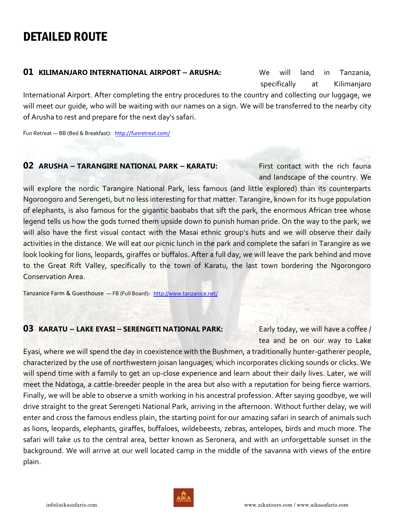## DETAILED ROUTE

#### **01 KILIMANJARO INTERNATIONAL AIRPORT - ARUSHA:** We will land in Tanzania,

specifically at Kilimanjaro

International Airport. After completing the entry procedures to the country and collecting our luggage, we will meet our guide, who will be waiting with our names on a sign. We will be transferred to the nearby city of Arusha to rest and prepare for the next day's safari.

Fun Retreat — BB (Bed & Breakfast): <http://funretreat.com/>

### **02 ARUSHA — TARANGIRE NATIONAL PARK — KARATU:** First contact with the rich fauna

and landscape of the country. We

will explore the nordic Tarangire National Park, less famous (and little explored) than its counterparts Ngorongoro and Serengeti, but no less interesting for that matter. Tarangire, known for its huge population of elephants, is also famous for the gigantic baobabs that sift the park, the enormous African tree whose legend tells us how the gods turned them upside down to punish human pride. On the way to the park, we will also have the first visual contact with the Masai ethnic group's huts and we will observe their daily activities in the distance. We will eat our picnic lunch in the park and complete the safari in Tarangire as we look looking for lions, leopards, giraffes or buffalos. After a full day, we will leave the park behind and move to the Great Rift Valley, specifically to the town of Karatu, the last town bordering the Ngorongoro Conservation Area.

Tanzanice Farm & Guesthouse — FB (Full Board): <http://www.tanzanice.net/>

### **03 KARATU** – LAKE EYASI – SERENGETI NATIONAL PARK: Early today, we will have a coffee /

tea and be on our way to Lake

Eyasi, where we will spend the day in coexistence with the Bushmen, a traditionally hunter-gatherer people, characterized by the use of northwestern joisan languages, which incorporates clicking sounds or clicks. We will spend time with a family to get an up-close experience and learn about their daily lives. Later, we will meet the Ndatoga, a cattle-breeder people in the area but also with a reputation for being fierce warriors. Finally, we will be able to observe a smith working in his ancestral profession. After saying goodbye, we will drive straight to the great Serengeti National Park, arriving in the afternoon. Without further delay, we will enter and cross the famous endless plain, the starting point for our amazing safari in search of animals such as lions, leopards, elephants, giraffes, buffaloes, wildebeests, zebras, antelopes, birds and much more. The safari will take us to the central area, better known as Seronera, and with an unforgettable sunset in the background. We will arrive at our well located camp in the middle of the savanna with views of the entire plain.

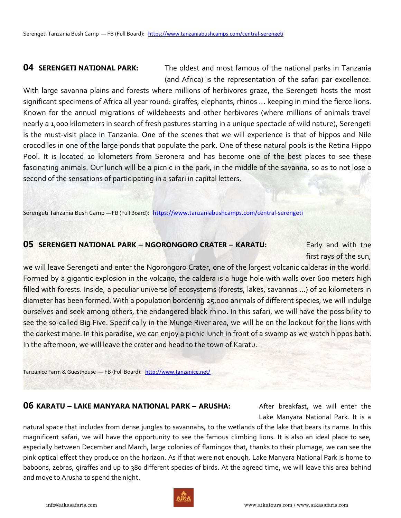**04 SERENGETI NATIONAL PARK:** The oldest and most famous of the national parks in Tanzania (and Africa) is the representation of the safari par excellence.

With large savanna plains and forests where millions of herbivores graze, the Serengeti hosts the most significant specimens of Africa all year round: giraffes, elephants, rhinos ... keeping in mind the fierce lions. Known for the annual migrations of wildebeests and other herbivores (where millions of animals travel nearly a 1,000 kilometers in search of fresh pastures starring in a unique spectacle of wild nature), Serengeti is the must-visit place in Tanzania. One of the scenes that we will experience is that of hippos and Nile crocodiles in one of the large ponds that populate the park. One of these natural pools is the Retina Hippo Pool. It is located 10 kilometers from Seronera and has become one of the best places to see these fascinating animals. Our lunch will be a picnic in the park, in the middle of the savanna, so as to not lose a second of the sensations of participating in a safari in capital letters.

Serengeti Tanzania Bush Camp - FB (Full Board): <https://www.tanzaniabushcamps.com/central-serengeti>

#### **05 SERENGETI NATIONAL PARK — NGORONGORO CRATER — KARATU:** Early and with the

first rays of the sun,

we will leave Serengeti and enter the Ngorongoro Crater, one of the largest volcanic calderas in the world. Formed by a gigantic explosion in the volcano, the caldera is a huge hole with walls over 600 meters high filled with forests. Inside, a peculiar universe of ecosystems (forests, lakes, savannas ...) of 20 kilometers in diameter has been formed. With a population bordering 25,000 animals of different species, we will indulge ourselves and seek among others, the endangered black rhino. In this safari, we will have the possibility to see the so-called Big Five. Specifically in the Munge River area, we will be on the lookout for the lions with the darkest mane. In this paradise, we can enjoy a picnic lunch in front of a swamp as we watch hippos bath. In the afternoon, we will leave the crater and head to the town of Karatu.

Tanzanice Farm & Guesthouse — FB (Full Board): <http://www.tanzanice.net/>

### **06 KARATU – LAKE MANYARA NATIONAL PARK – ARUSHA:** After breakfast, we will enter the

Lake Manyara National Park. It is a

natural space that includes from dense jungles to savannahs, to the wetlands of the lake that bears its name. In this magnificent safari, we will have the opportunity to see the famous climbing lions. It is also an ideal place to see, especially between December and March, large colonies of flamingos that, thanks to their plumage, we can see the pink optical effect they produce on the horizon. As if that were not enough, Lake Manyara National Park is home to baboons, zebras, giraffes and up to 380 different species of birds. At the agreed time, we will leave this area behind and move to Arusha to spend the night.